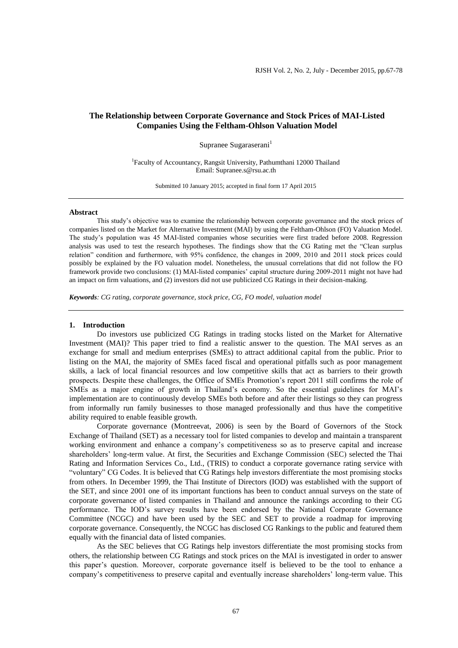# **The Relationship between Corporate Governance and Stock Prices of MAI-Listed Companies Using the Feltham-Ohlson Valuation Model**

Supranee Sugaraserani<sup>1</sup>

<sup>1</sup>Faculty of Accountancy, Rangsit University, Pathumthani 12000 Thailand Email: [Supranee.s@rsu.ac.th](mailto:Supranee.s@rsu.ac.th)

Submitted 10 January 2015; accepted in final form 17 April 2015

#### **Abstract**

This study's objective was to examine the relationship between corporate governance and the stock prices of companies listed on the Market for Alternative Investment (MAI) by using the Feltham-Ohlson (FO) Valuation Model. The study's population was 45 MAI-listed companies whose securities were first traded before 2008. Regression analysis was used to test the research hypotheses. The findings show that the CG Rating met the "Clean surplus relation" condition and furthermore, with 95% confidence, the changes in 2009, 2010 and 2011 stock prices could possibly be explained by the FO valuation model. Nonetheless, the unusual correlations that did not follow the FO framework provide two conclusions: (1) MAI-listed companies' capital structure during 2009-2011 might not have had an impact on firm valuations, and (2) investors did not use publicized CG Ratings in their decision-making.

*Keywords: CG rating, corporate governance, stock price, CG, FO model, valuation model*

# **1. Introduction**

Do investors use publicized CG Ratings in trading stocks listed on the Market for Alternative Investment (MAI)? This paper tried to find a realistic answer to the question. The MAI serves as an exchange for small and medium enterprises (SMEs) to attract additional capital from the public. Prior to listing on the MAI, the majority of SMEs faced fiscal and operational pitfalls such as poor management skills, a lack of local financial resources and low competitive skills that act as barriers to their growth prospects. Despite these challenges, the Office of SMEs Promotion's report 2011 still confirms the role of SMEs as a major engine of growth in Thailand's economy. So the essential guidelines for MAI's implementation are to continuously develop SMEs both before and after their listings so they can progress from informally run family businesses to those managed professionally and thus have the competitive ability required to enable feasible growth.

Corporate governance (Montreevat, 2006) is seen by the Board of Governors of the Stock Exchange of Thailand (SET) as a necessary tool for listed companies to develop and maintain a transparent working environment and enhance a company's competitiveness so as to preserve capital and increase shareholders' long-term value. At first, the Securities and Exchange Commission (SEC) selected the Thai Rating and Information Services Co., Ltd., (TRIS) to conduct a corporate governance rating service with "voluntary" CG Codes. It is believed that CG Ratings help investors differentiate the most promising stocks from others. In December 1999, the Thai Institute of Directors (IOD) was established with the support of the SET, and since 2001 one of its important functions has been to conduct annual surveys on the state of corporate governance of listed companies in Thailand and announce the rankings according to their CG performance. The IOD's survey results have been endorsed by the National Corporate Governance Committee (NCGC) and have been used by the SEC and SET to provide a roadmap for improving corporate governance. Consequently, the NCGC has disclosed CG Rankings to the public and featured them equally with the financial data of listed companies.

As the SEC believes that CG Ratings help investors differentiate the most promising stocks from others, the relationship between CG Ratings and stock prices on the MAI is investigated in order to answer this paper's question. Moreover, corporate governance itself is believed to be the tool to enhance a company's competitiveness to preserve capital and eventually increase shareholders' long-term value. This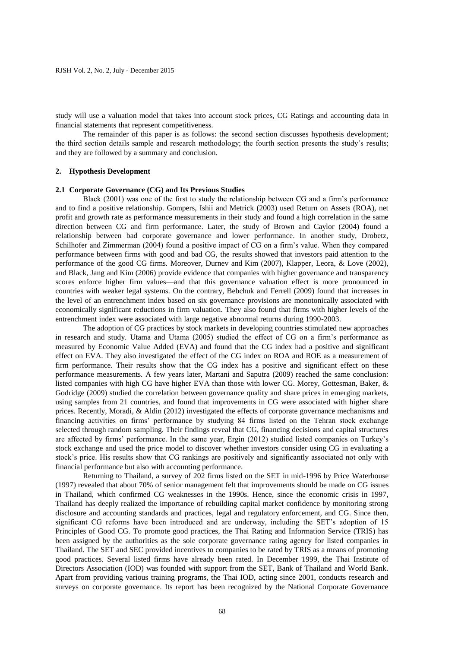study will use a valuation model that takes into account stock prices, CG Ratings and accounting data in financial statements that represent competitiveness.

The remainder of this paper is as follows: the second section discusses hypothesis development; the third section details sample and research methodology; the fourth section presents the study's results; and they are followed by a summary and conclusion.

#### **2. Hypothesis Development**

#### **2.1 Corporate Governance (CG) and Its Previous Studies**

Black (2001) was one of the first to study the relationship between CG and a firm's performance and to find a positive relationship. Gompers, Ishii and Metrick (2003) used Return on Assets (ROA), net profit and growth rate as performance measurements in their study and found a high correlation in the same direction between CG and firm performance. Later, the study of Brown and Caylor (2004) found a relationship between bad corporate governance and lower performance. In another study, Drobetz, Schilhofer and Zimmerman (2004) found a positive impact of CG on a firm's value. When they compared performance between firms with good and bad CG, the results showed that investors paid attention to the performance of the good CG firms. Moreover, Durnev and Kim (2007), Klapper, Leora, & Love (2002), and Black, Jang and Kim (2006) provide evidence that companies with higher governance and transparency scores enforce higher firm values—and that this governance valuation effect is more pronounced in countries with weaker legal systems. On the contrary, Bebchuk and Ferrell (2009) found that increases in the level of an entrenchment index based on six governance provisions are monotonically associated with economically significant reductions in firm valuation. They also found that firms with higher levels of the entrenchment index were associated with large negative abnormal returns during 1990-2003.

The adoption of CG practices by stock markets in developing countries stimulated new approaches in research and study. Utama and Utama (2005) studied the effect of CG on a firm's performance as measured by Economic Value Added (EVA) and found that the CG index had a positive and significant effect on EVA. They also investigated the effect of the CG index on ROA and ROE as a measurement of firm performance. Their results show that the CG index has a positive and significant effect on these performance measurements. A few years later, Martani and Saputra (2009) reached the same conclusion: listed companies with high CG have higher EVA than those with lower CG. Morey, Gottesman, Baker, & Godridge (2009) studied the correlation between governance quality and share prices in emerging markets, using samples from 21 countries, and found that improvements in CG were associated with higher share prices. Recently, Moradi, & Aldin (2012) investigated the effects of corporate governance mechanisms and financing activities on firms' performance by studying 84 firms listed on the Tehran stock exchange selected through random sampling. Their findings reveal that CG, financing decisions and capital structures are affected by firms' performance. In the same year, Ergin (2012) studied listed companies on Turkey's stock exchange and used the price model to discover whether investors consider using CG in evaluating a stock's price. His results show that CG rankings are positively and significantly associated not only with financial performance but also with accounting performance.

Returning to Thailand, a survey of 202 firms listed on the SET in mid-1996 by Price Waterhouse (1997) revealed that about 70% of senior management felt that improvements should be made on CG issues in Thailand, which confirmed CG weaknesses in the 1990s. Hence, since the economic crisis in 1997, Thailand has deeply realized the importance of rebuilding capital market confidence by monitoring strong disclosure and accounting standards and practices, legal and regulatory enforcement, and CG. Since then, significant CG reforms have been introduced and are underway, including the SET's adoption of 15 Principles of Good CG. To promote good practices, the Thai Rating and Information Service (TRIS) has been assigned by the authorities as the sole corporate governance rating agency for listed companies in Thailand. The SET and SEC provided incentives to companies to be rated by TRIS as a means of promoting good practices. Several listed firms have already been rated. In December 1999, the Thai Institute of Directors Association (IOD) was founded with support from the SET, Bank of Thailand and World Bank. Apart from providing various training programs, the Thai IOD, acting since 2001, conducts research and surveys on corporate governance. Its report has been recognized by the National Corporate Governance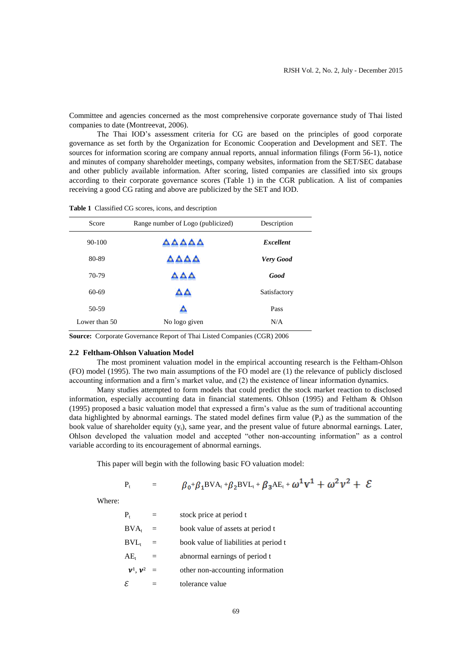Committee and agencies concerned as the most comprehensive corporate governance study of Thai listed companies to date (Montreevat, 2006).

The Thai IOD's assessment criteria for CG are based on the principles of good corporate governance as set forth by the Organization for Economic Cooperation and Development and SET. The sources for information scoring are company annual reports, annual information filings (Form 56-1), notice and minutes of company shareholder meetings, company websites, information from the SET/SEC database and other publicly available information. After scoring, listed companies are classified into six groups according to their corporate governance scores (Table 1) in the CGR publication. A list of companies receiving a good CG rating and above are publicized by the SET and IOD.

| Score         | Range number of Logo (publicized) | Description      |
|---------------|-----------------------------------|------------------|
| $90-100$      | AAAAA                             | Excellent        |
| 80-89         | AAAA                              | <b>Very Good</b> |
| 70-79         | AAA                               | Good             |
| $60-69$       |                                   | Satisfactory     |
| 50-59         |                                   | Pass             |
| Lower than 50 | No logo given                     | N/A              |

**Table 1** Classified CG scores, icons, and description

**Source:** Corporate Governance Report of Thai Listed Companies (CGR) 2006

## **2.2 Feltham-Ohlson Valuation Model**

The most prominent valuation model in the empirical accounting research is the Feltham-Ohlson (FO) model (1995). The two main assumptions of the FO model are (1) the relevance of publicly disclosed accounting information and a firm's market value, and (2) the existence of linear information dynamics.

Many studies attempted to form models that could predict the stock market reaction to disclosed information, especially accounting data in financial statements. Ohlson (1995) and Feltham & Ohlson (1995) proposed a basic valuation model that expressed a firm's value as the sum of traditional accounting data highlighted by abnormal earnings. The stated model defines firm value  $(P<sub>t</sub>)$  as the summation of the book value of shareholder equity  $(y_t)$ , same year, and the present value of future abnormal earnings. Later, Ohlson developed the valuation model and accepted "other non-accounting information" as a control variable according to its encouragement of abnormal earnings.

This paper will begin with the following basic FO valuation model:

$$
P_{t} = \beta_{0} + \beta_{1} B V A_{t} + \beta_{2} B V L_{t} + \beta_{3} A E_{t} + \omega^{1} V^{1} + \omega^{2} V^{2} + \mathcal{E}
$$

Where:

| $P_{t}$          |     | stock price at period t               |
|------------------|-----|---------------------------------------|
| BVA <sub>r</sub> | $=$ | book value of assets at period t      |
| $BVL_{t}$        | $=$ | book value of liabilities at period t |
| $AE_{t}$         | $=$ | abnormal earnings of period t         |
| $v^1$ , $v^2$ =  |     | other non-accounting information      |
| ε                |     | tolerance value                       |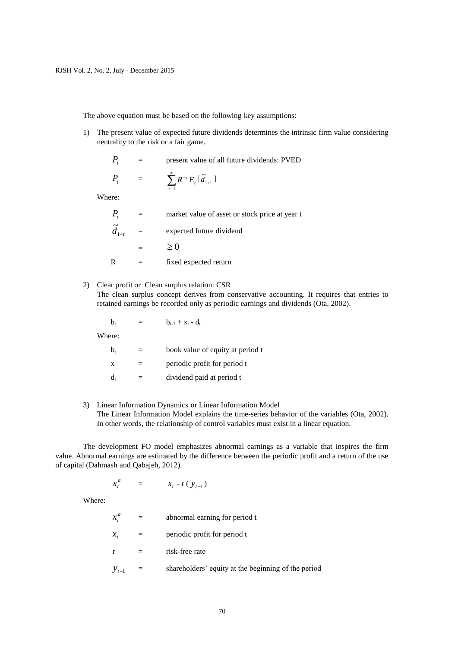The above equation must be based on the following key assumptions:

1) The present value of expected future dividends determines the intrinsic firm value considering neutrality to the risk or a fair game.

$$
P_{t} =
$$
present value of all future dividends: PVED  
\n
$$
P_{t} = \sum_{\tau=1}^{\infty} R^{-\tau} E_{\tau} [\tilde{d}_{1+\tau}]
$$
\nWhere:  
\n
$$
P =
$$
 market value of asset or stock price at year t

| Ι,        | market value of asset or stock price at year |
|-----------|----------------------------------------------|
| $d_{1+t}$ | expected future dividend                     |
|           | $\geq 0$                                     |
| R         | fixed expected return                        |

2) Clear profit or Clean surplus relation: CSR The clean surplus concept derives from conservative accounting. It requires that entries to retained earnings be recorded only as periodic earnings and dividends (Ota, 2002).

| b,      | $b_{t-1} + x_t - d_t$            |
|---------|----------------------------------|
| Where:  |                                  |
| $b_{t}$ | book value of equity at period t |
| $X_t$   | periodic profit for period t     |
| d.      | dividend paid at period t        |

3) Linear Information Dynamics or Linear Information Model The Linear Information Model explains the time-series behavior of the variables (Ota, 2002). In other words, the relationship of control variables must exist in a linear equation.

The development FO model emphasizes abnormal earnings as a variable that inspires the firm value. Abnormal earnings are estimated by the difference between the periodic profit and a return of the use of capital (Dahmash and Qabajeh, 2012).

$$
x_t^a = x_t - r(y_{t-1})
$$

Where:

| $x_*^a$   | abnormal earning for period t                       |
|-----------|-----------------------------------------------------|
| х,        | periodic profit for period t                        |
| r         | risk-free rate                                      |
| $y_{t-1}$ | shareholders' equity at the beginning of the period |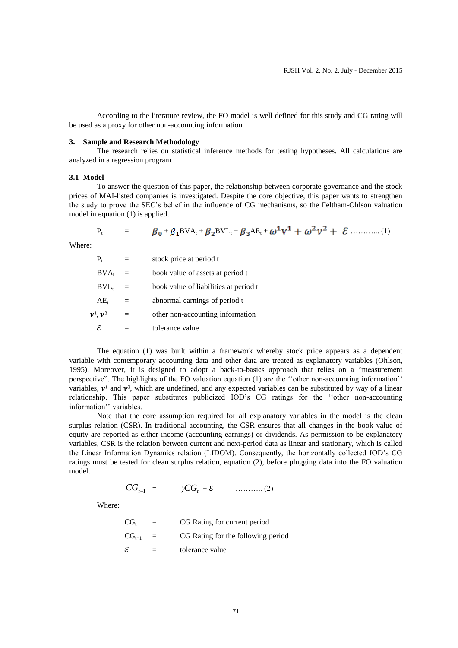According to the literature review, the FO model is well defined for this study and CG rating will be used as a proxy for other non-accounting information.

### **3. Sample and Research Methodology**

The research relies on statistical inference methods for testing hypotheses. All calculations are analyzed in a regression program.

## **3.1 Model**

To answer the question of this paper, the relationship between corporate governance and the stock prices of MAI-listed companies is investigated. Despite the core objective, this paper wants to strengthen the study to prove the SEC's belief in the influence of CG mechanisms, so the Feltham-Ohlson valuation model in equation (1) is applied.

$$
P_{t} = \beta_{0} + \beta_{1}BVA_{t} + \beta_{2}BVL_{t} + \beta_{3}AE_{t} + \omega^{1}V^{1} + \omega^{2}V^{2} + \mathcal{E} \dots \dots \dots \dots (1)
$$

Where:

| $P_{t}$       |     | stock price at period t               |
|---------------|-----|---------------------------------------|
| $BVA_t$       | $=$ | book value of assets at period t      |
| $BVL_{t}$     | $=$ | book value of liabilities at period t |
| $AE_t$        |     | abnormal earnings of period t         |
| $v^1$ , $v^2$ |     | other non-accounting information      |
| ε.            |     | tolerance value                       |

The equation (1) was built within a framework whereby stock price appears as a dependent variable with contemporary accounting data and other data are treated as explanatory variables (Ohlson, 1995). Moreover, it is designed to adopt a back-to-basics approach that relies on a "measurement perspective". The highlights of the FO valuation equation (1) are the ''other non-accounting information'' variables,  $v^1$  and  $v^2$ , which are undefined, and any expected variables can be substituted by way of a linear relationship. This paper substitutes publicized IOD's CG ratings for the ''other non-accounting information'' variables.

Note that the core assumption required for all explanatory variables in the model is the clean surplus relation (CSR). In traditional accounting, the CSR ensures that all changes in the book value of equity are reported as either income (accounting earnings) or dividends. As permission to be explanatory variables, CSR is the relation between current and next-period data as linear and stationary, which is called the Linear Information Dynamics relation (LIDOM). Consequently, the horizontally collected IOD's CG ratings must be tested for clean surplus relation, equation (2), before plugging data into the FO valuation model.

$$
CG_{t+1} = \gamma CG_t + \varepsilon \qquad \qquad (2)
$$

Where:

$$
CGt = CG Rating for current period\nCGt+1 = CG Rating for the following period\n
$$
\mathcal{E} =
$$
 tolerance value
$$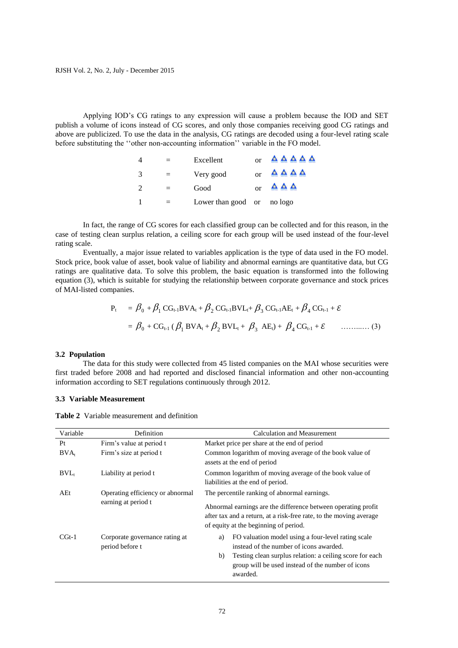Applying IOD's CG ratings to any expression will cause a problem because the IOD and SET publish a volume of icons instead of CG scores, and only those companies receiving good CG ratings and above are publicized. To use the data in the analysis, CG ratings are decoded using a four-level rating scale before substituting the ''other non-accounting information'' variable in the FO model.

|   | $=$ | Excellent                  | $\alpha$ r | <b>AAAAA</b> |
|---|-----|----------------------------|------------|--------------|
| 3 | $=$ | Very good                  | $\alpha$ r | <b>AAAA</b>  |
|   | $=$ | Good                       | $\alpha$ r | <b>AAA</b>   |
|   | $=$ | Lower than good or no logo |            |              |

In fact, the range of CG scores for each classified group can be collected and for this reason, in the case of testing clean surplus relation, a ceiling score for each group will be used instead of the four-level rating scale.

Eventually, a major issue related to variables application is the type of data used in the FO model. Stock price, book value of asset, book value of liability and abnormal earnings are quantitative data, but CG ratings are qualitative data. To solve this problem, the basic equation is transformed into the following equation (3), which is suitable for studying the relationship between corporate governance and stock prices of MAI-listed companies.

$$
P_{t} = \beta_{0} + \beta_{1} CG_{t-1} BVA_{t} + \beta_{2} CG_{t-1} BVL_{t} + \beta_{3} CG_{t-1} AE_{t} + \beta_{4} CG_{t-1} + \varepsilon
$$
  
=  $\beta_{0} + CG_{t-1} (\beta_{1} BVA_{t} + \beta_{2} BVL_{t} + \beta_{3} AE_{t}) + \beta_{4} CG_{t-1} + \varepsilon$  ......... (3)

### **3.2 Population**

The data for this study were collected from 45 listed companies on the MAI whose securities were first traded before 2008 and had reported and disclosed financial information and other non-accounting information according to SET regulations continuously through 2012.

## **3.3 Variable Measurement**

**Table 2** Variable measurement and definition

| Variable         | Definition                                              | <b>Calculation and Measurement</b>                                                                                                                                                                                                     |  |
|------------------|---------------------------------------------------------|----------------------------------------------------------------------------------------------------------------------------------------------------------------------------------------------------------------------------------------|--|
| Pt               | Firm's value at period t                                | Market price per share at the end of period                                                                                                                                                                                            |  |
| BVA <sub>t</sub> | Firm's size at period t                                 | Common logarithm of moving average of the book value of<br>assets at the end of period                                                                                                                                                 |  |
| $BVL_{t}$        | Liability at period t                                   | Common logarithm of moving average of the book value of<br>liabilities at the end of period.                                                                                                                                           |  |
| AEt              | Operating efficiency or abnormal<br>earning at period t | The percentile ranking of abnormal earnings.<br>Abnormal earnings are the difference between operating profit<br>after tax and a return, at a risk-free rate, to the moving average<br>of equity at the beginning of period.           |  |
| $CGt-1$          | Corporate governance rating at<br>period before t       | FO valuation model using a four-level rating scale<br>a)<br>instead of the number of icons awarded.<br>b)<br>Testing clean surplus relation: a ceiling score for each<br>group will be used instead of the number of icons<br>awarded. |  |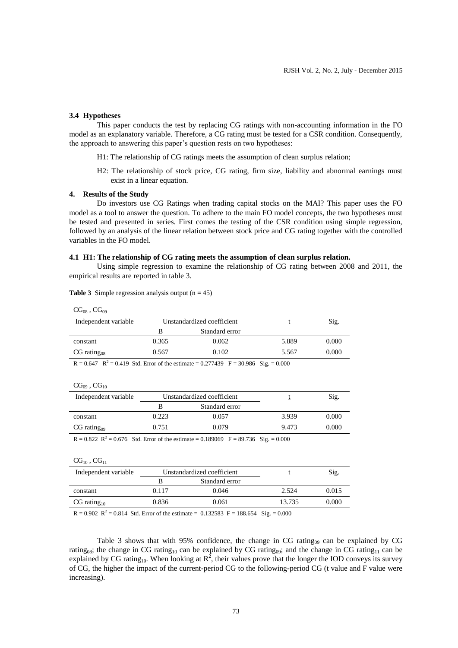## **3.4 Hypotheses**

This paper conducts the test by replacing CG ratings with non-accounting information in the FO model as an explanatory variable. Therefore, a CG rating must be tested for a CSR condition. Consequently, the approach to answering this paper's question rests on two hypotheses:

- H1: The relationship of CG ratings meets the assumption of clean surplus relation;
- H2: The relationship of stock price, CG rating, firm size, liability and abnormal earnings must exist in a linear equation.

#### **4. Results of the Study**

Do investors use CG Ratings when trading capital stocks on the MAI? This paper uses the FO model as a tool to answer the question. To adhere to the main FO model concepts, the two hypotheses must be tested and presented in series. First comes the testing of the CSR condition using simple regression, followed by an analysis of the linear relation between stock price and CG rating together with the controlled variables in the FO model.

### **4.1 H1: The relationship of CG rating meets the assumption of clean surplus relation.**

Using simple regression to examine the relationship of CG rating between 2008 and 2011, the empirical results are reported in table 3.

| Independent variable                                                                                            | Unstandardized coefficient |                |       | Sig.  |
|-----------------------------------------------------------------------------------------------------------------|----------------------------|----------------|-------|-------|
|                                                                                                                 | В                          | Standard error |       |       |
| constant                                                                                                        | 0.365                      | 0.062          | 5.889 | 0.000 |
| $CG \, rating_{08}$                                                                                             | 0.567                      | 0.102          | 5.567 | 0.000 |
| $D = 0.647$ $D^2 = 0.410$ $R_{\text{H}}$ Europe of the estimate = 0.277420 $E = 20.096$ $R_{\text{cm}} = 0.000$ |                            |                |       |       |

**Table 3** Simple regression analysis output  $(n = 45)$ 

 $R = 0.647$   $R^2 = 0.419$  Std. Error of the estimate = 0.277439  $F = 30.986$  Sig. = 0.000

#### $CG_{09}$ ,  $CG_{10}$

 $CG_{22}$  ,  $CG_{22}$ 

| Independent variable | Unstandardized coefficient                                                                                                                                                                                                                                                                                                       |                |       | Sig.  |  |  |
|----------------------|----------------------------------------------------------------------------------------------------------------------------------------------------------------------------------------------------------------------------------------------------------------------------------------------------------------------------------|----------------|-------|-------|--|--|
|                      | в                                                                                                                                                                                                                                                                                                                                | Standard error |       |       |  |  |
| constant             | 0.223                                                                                                                                                                                                                                                                                                                            | 0.057          | 3.939 | 0.000 |  |  |
| $CG \, rating_{09}$  | 0.751                                                                                                                                                                                                                                                                                                                            | 0.079          | 9.473 | 0.000 |  |  |
|                      | $\alpha$ and $\alpha$ and $\alpha$ and $\alpha$ and $\alpha$ and $\alpha$ and $\alpha$ and $\alpha$ and $\alpha$ and $\alpha$ and $\alpha$ and $\alpha$ and $\alpha$ and $\alpha$ and $\alpha$ and $\alpha$ and $\alpha$ and $\alpha$ and $\alpha$ and $\alpha$ and $\alpha$ and $\alpha$ and $\alpha$ and $\alpha$ and $\alpha$ |                |       |       |  |  |

 $R = 0.822$   $R^2 = 0.676$  Std. Error of the estimate = 0.189069  $F = 89.736$  Sig. = 0.000

| Independent variable | Unstandardized coefficient |                |        | Sig.  |
|----------------------|----------------------------|----------------|--------|-------|
|                      | в                          | Standard error |        |       |
| constant             | 0.117                      | 0.046          | 2.524  | 0.015 |
| $CG \, rating_{10}$  | 0.836                      | 0.061          | 13.735 | 0.000 |
|                      |                            |                |        |       |

 $R = 0.902$   $R^2 = 0.814$  Std. Error of the estimate = 0.132583 F = 188.654 Sig. = 0.000

Table 3 shows that with 95% confidence, the change in CG rating<sub>09</sub> can be explained by CG rating<sub>08</sub>; the change in CG rating<sub>10</sub> can be explained by CG rating<sub>09</sub>; and the change in CG rating<sub>11</sub> can be explained by CG rating<sub>10</sub>. When looking at  $R^2$ , their values prove that the longer the IOD conveys its survey of CG, the higher the impact of the current-period CG to the following-period CG (t value and F value were increasing).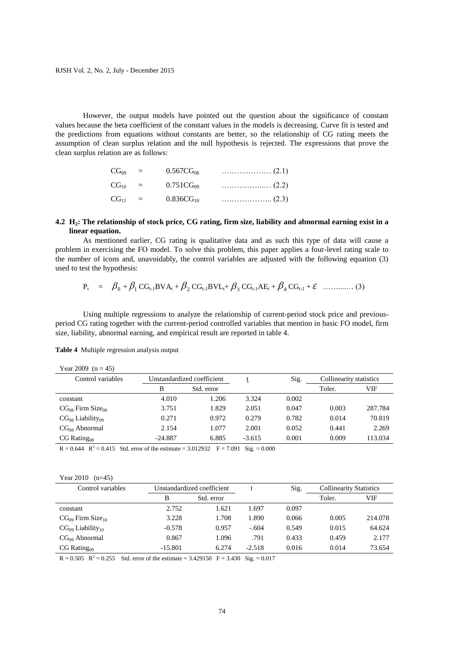However, the output models have pointed out the question about the significance of constant values because the beta coefficient of the constant values in the models is decreasing. Curve fit is tested and the predictions from equations without constants are better, so the relationship of CG rating meets the assumption of clean surplus relation and the null hypothesis is rejected. The expressions that prove the clean surplus relation are as follows:

## **4.2 H2: The relationship of stock price, CG rating, firm size, liability and abnormal earning exist in a linear equation.**

As mentioned earlier, CG rating is qualitative data and as such this type of data will cause a problem in exercising the FO model. To solve this problem, this paper applies a four-level rating scale to the number of icons and, unavoidably, the control variables are adjusted with the following equation (3) used to test the hypothesis:

$$
P_{t} = \beta_{0} + \beta_{1} CG_{t-1} BVA_{t} + \beta_{2} CG_{t-1} BVL_{t} + \beta_{3} CG_{t-1} AE_{t} + \beta_{4} CG_{t-1} + \mathcal{E} \dots \dots \dots \dots (3)
$$

Using multiple regressions to analyze the relationship of current-period stock price and previousperiod CG rating together with the current-period controlled variables that mention in basic FO model, firm size, liability, abnormal earning, and empirical result are reported in table 4.

**Table 4** Multiple regression analysis output

| Year 2009 $(n = 45)$              |                            |            |          |       |                         |         |
|-----------------------------------|----------------------------|------------|----------|-------|-------------------------|---------|
| Control variables                 | Unstandardized coefficient |            |          | Sig.  | Collinearity statistics |         |
|                                   | B                          | Std. error |          |       | Toler.                  | VIF     |
| constant                          | 4.010                      | 1.206      | 3.324    | 0.002 |                         |         |
| $CG_{08}$ Firm Size <sub>09</sub> | 3.751                      | 1.829      | 2.051    | 0.047 | 0.003                   | 287.784 |
| $CG08 Liability09$                | 0.271                      | 0.972      | 0.279    | 0.782 | 0.014                   | 70.819  |
| CG <sub>08</sub> Abnormal         | 2.154                      | 1.077      | 2.001    | 0.052 | 0.441                   | 2.269   |
| $CG$ Rating <sub>08</sub>         | $-24.887$                  | 6.885      | $-3.615$ | 0.001 | 0.009                   | 113.034 |

 $R = 0.644$   $R^2 = 0.415$  Std. error of the estimate = 3.012932  $F = 7.091$  Sig. = 0.000

#### Year 2010 (n=45)

| Control variables                 | Unstandardized coefficient |            |          | Sig.  | <b>Collinearity Statistics</b> |         |
|-----------------------------------|----------------------------|------------|----------|-------|--------------------------------|---------|
|                                   | в                          | Std. error |          |       | Toler.                         | VIF     |
| constant                          | 2.752                      | 1.621      | 1.697    | 0.097 |                                |         |
| $CG_{09}$ Firm Size <sub>10</sub> | 3.228                      | 1.708      | 1.890    | 0.066 | 0.005                          | 214.078 |
| $CG_{09}$ Liability <sub>10</sub> | $-0.578$                   | 0.957      | $-.604$  | 0.549 | 0.015                          | 64.624  |
| CG <sub>09</sub> Abnormal         | 0.867                      | 1.096      | .791     | 0.433 | 0.459                          | 2.177   |
| $CG$ Rating <sub>09</sub>         | $-15.801$                  | 6.274      | $-2.518$ | 0.016 | 0.014                          | 73.654  |

 $R = 0.505$   $R^2 = 0.255$  Std. error of the estimate = 3.429150  $F = 3.430$  Sig. = 0.017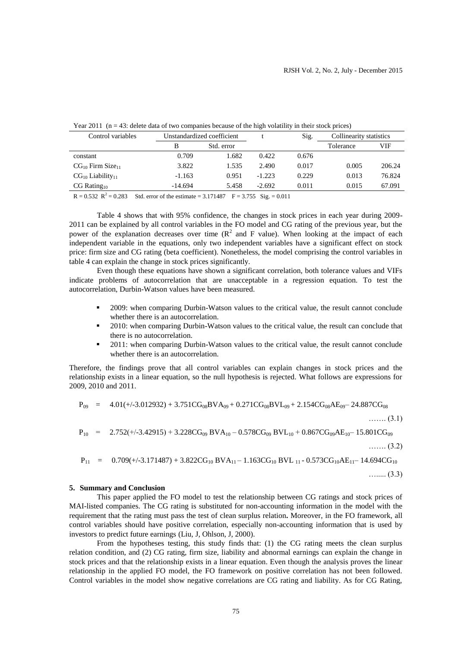| Control variables                 | Unstandardized coefficient |            |          | Sig.  | Collinearity statistics |        |
|-----------------------------------|----------------------------|------------|----------|-------|-------------------------|--------|
|                                   | B                          | Std. error |          |       | Tolerance               | VIF    |
| constant                          | 0.709                      | 1.682      | 0.422    | 0.676 |                         |        |
| $CG_{10}$ Firm Size <sub>11</sub> | 3.822                      | 1.535      | 2.490    | 0.017 | 0.005                   | 206.24 |
| $CG_{10}$ Liability <sub>11</sub> | $-1.163$                   | 0.951      | $-1.223$ | 0.229 | 0.013                   | 76.824 |
| $CG$ Rating <sub>10</sub>         | $-14.694$                  | 5.458      | $-2.692$ | 0.011 | 0.015                   | 67.091 |

Year 2011 ( $n = 43$ : delete data of two companies because of the high volatility in their stock prices)

 $R = 0.532$   $R^2 = 0.283$  Std. error of the estimate = 3.171487  $F = 3.755$  Sig. = 0.011

power of the explanation decreases over time ( $R<sup>2</sup>$  and F value). When looking at the impact of each Table 4 shows that with 95% confidence, the changes in stock prices in each year during 2009- 2011 can be explained by all control variables in the FO model and CG rating of the previous year, but the independent variable in the equations, only two independent variables have a significant effect on stock price: firm size and CG rating (beta coefficient). Nonetheless, the model comprising the control variables in table 4 can explain the change in stock prices significantly.

Even though these equations have shown a significant correlation, both tolerance values and VIFs indicate problems of autocorrelation that are unacceptable in a regression equation. To test the autocorrelation, Durbin-Watson values have been measured.

- 2009: when comparing Durbin-Watson values to the critical value, the result cannot conclude whether there is an autocorrelation.
- 2010: when comparing Durbin-Watson values to the critical value, the result can conclude that there is no autocorrelation.
- 2011: when comparing Durbin-Watson values to the critical value, the result cannot conclude whether there is an autocorrelation.

Therefore, the findings prove that all control variables can explain changes in stock prices and the relationship exists in a linear equation, so the null hypothesis is rejected. What follows are expressions for 2009, 2010 and 2011.

$$
P_{09} = 4.01(+/-3.012932) + 3.751CG_{08}BVA_{09} + 0.271CG_{08}BVL_{09} + 2.154CG_{08}AE_{09} - 24.887CG_{08}
$$

……. (3.1)

$$
P_{10} = 2.752(+/-3.42915) + 3.228CG_{09} BVA_{10} - 0.578CG_{09} BVL_{10} + 0.867CG_{09} AE_{10} - 15.801CG_{09}
$$

……. (3.2)

$$
P_{11} = 0.709(+/-3.171487) + 3.822CG_{10} BVA_{11} - 1.163CG_{10} BVL_{11} - 0.573CG_{10}AE_{11} - 14.694CG_{10}
$$
  
........(3.3)

#### **5. Summary and Conclusion**

This paper applied the FO model to test the relationship between CG ratings and stock prices of MAI-listed companies. The CG rating is substituted for non-accounting information in the model with the requirement that the rating must pass the test of clean surplus relation**.** Moreover, in the FO framework, all control variables should have positive correlation, especially non-accounting information that is used by investors to predict future earnings (Liu, J, Ohlson, J, 2000).

From the hypotheses testing, this study finds that: (1) the CG rating meets the clean surplus relation condition, and (2) CG rating, firm size, liability and abnormal earnings can explain the change in stock prices and that the relationship exists in a linear equation. Even though the analysis proves the linear relationship in the applied FO model, the FO framework on positive correlation has not been followed. Control variables in the model show negative correlations are CG rating and liability. As for CG Rating,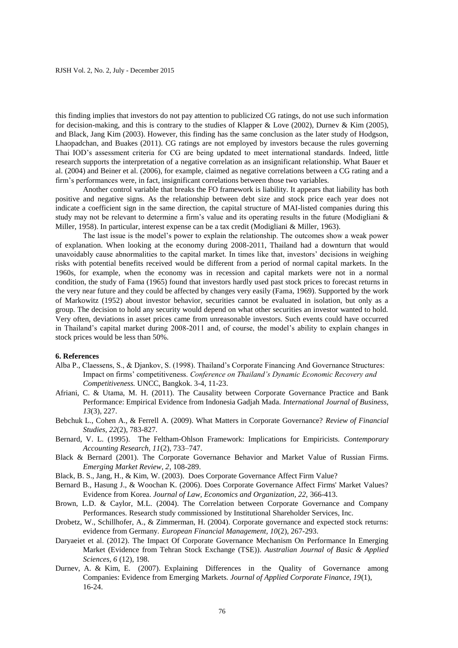this finding implies that investors do not pay attention to publicized CG ratings, do not use such information for decision-making, and this is contrary to the studies of Klapper & Love (2002), Durnev & Kim (2005), and Black, Jang Kim (2003). However, this finding has the same conclusion as the later study of Hodgson, Lhaopadchan, and Buakes (2011). CG ratings are not employed by investors because the rules governing Thai IOD's assessment criteria for CG are being updated to meet international standards. Indeed, little research supports the interpretation of a negative correlation as an insignificant relationship. What Bauer et al. (2004) and Beiner et al. (2006), for example, claimed as negative correlations between a CG rating and a firm's performances were, in fact, insignificant correlations between those two variables.

Another control variable that breaks the FO framework is liability. It appears that liability has both positive and negative signs. As the relationship between debt size and stock price each year does not indicate a coefficient sign in the same direction, the capital structure of MAI-listed companies during this study may not be relevant to determine a firm's value and its operating results in the future (Modigliani & Miller, 1958). In particular, interest expense can be a tax credit (Modigliani & Miller, 1963).

The last issue is the model's power to explain the relationship. The outcomes show a weak power of explanation. When looking at the economy during 2008-2011, Thailand had a downturn that would unavoidably cause abnormalities to the capital market. In times like that, investors' decisions in weighing risks with potential benefits received would be different from a period of normal capital markets. In the 1960s, for example, when the economy was in recession and capital markets were not in a normal condition, the study of Fama (1965) found that investors hardly used past stock prices to forecast returns in the very near future and they could be affected by changes very easily (Fama, 1969). Supported by the work of Markowitz (1952) about investor behavior, securities cannot be evaluated in isolation, but only as a group. The decision to hold any security would depend on what other securities an investor wanted to hold. Very often, deviations in asset prices came from unreasonable investors. Such events could have occurred in Thailand's capital market during 2008-2011 and, of course, the model's ability to explain changes in stock prices would be less than 50%.

#### **6. References**

- Alba P., Claessens, S., & Djankov, S. (1998). Thailand's Corporate Financing And Governance Structures: Impact on firms' competitiveness. *Conference on Thailand's Dynamic Economic Recovery and Competitiveness.* UNCC, Bangkok. 3-4, 11-23.
- Afriani, C. & Utama, M. H. (2011). The Causality between Corporate Governance Practice and Bank Performance: Empirical Evidence from Indonesia Gadjah Mada. *International Journal of Business, 13*(3), 227.
- Bebchuk L., Cohen A., & Ferrell A. (2009). What Matters in Corporate Governance? *Review of Financial Studies, 22*(2), 783-827.
- Bernard, V. L. (1995). The Feltham-Ohlson Framework: Implications for Empiricists. *Contemporary Accounting Research, 11*(2), 733–747.
- Black & Bernard (2001). The Corporate Governance Behavior and Market Value of Russian Firms. *Emerging Market Review, 2*, 108-289.
- Black, B. S., Jang, H., & Kim, W. (2003). Does Corporate Governance Affect Firm Value?
- Bernard B., Hasung J., & Woochan K. (2006). Does Corporate Governance Affect Firms' Market Values? Evidence from Korea. *Journal of Law, Economics and Organization, 22,* 366-413.
- Brown, L.D. & Caylor, M.L. (2004). The Correlation between Corporate Governance and Company Performances. Research study commissioned by Institutional Shareholder Services, Inc.
- Drobetz, W., Schillhofer, A., & Zimmerman, H. (2004). Corporate governance and expected stock returns: evidence from Germany. *European Financial Management, 10*(2), 267-293.
- Daryaeiet et al. (2012). The Impact Of Corporate Governance Mechanism On Performance In Emerging Market (Evidence from Tehran Stock Exchange (TSE)). *Australian Journal of Basic & Applied Sciences, 6* (12), 198.
- Durnev, A. & Kim, E. (2007). Explaining Differences in the Quality of Governance among Companies: Evidence from Emerging Markets. *Journal of Applied Corporate Finance, 19*(1), 16-24.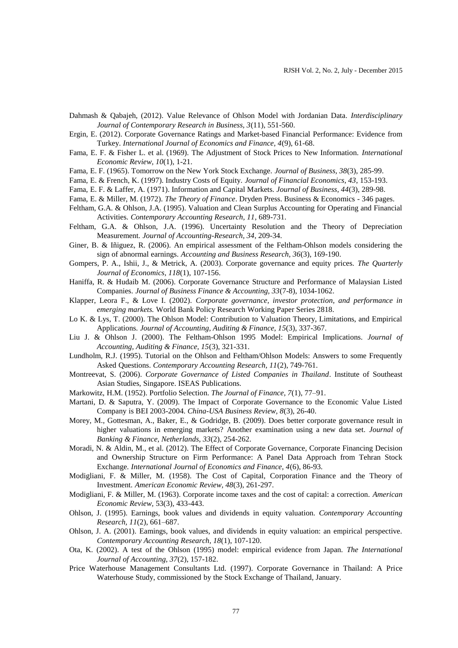- Dahmash & Qabajeh, (2012). Value Relevance of Ohlson Model with Jordanian Data. *Interdisciplinary Journal of Contemporary Research in Business, 3*(11), 551-560.
- Ergin, E. (2012). Corporate Governance Ratings and Market-based Financial Performance: Evidence from Turkey. *International Journal of Economics and Finance, 4*(9), 61-68.
- Fama, E. F. & Fisher L. et al. (1969). The Adjustment of Stock Prices to New Information. *International Economic Review, 10*(1), 1-21.
- Fama, E. F. (1965). Tomorrow on the New York Stock Exchange. *Journal of Business, 38*(3), 285-99.
- Fama, E. & French, K. (1997). Industry Costs of Equity. *Journal of Financial Economics, 43*, 153-193.
- Fama, E. F. & Laffer, A. (1971). Information and Capital Markets. *Journal of Business, 44*(3), 289-98.
- Fama, E. & Miller, M. (1972). *The Theory of Finance*. Dryden Press. Business & Economics 346 pages.
- Feltham, G.A. & Ohlson, J.A. (1995). Valuation and Clean Surplus Accounting for Operating and Financial Activities. *Contemporary Accounting Research, 11*, 689-731.
- Feltham, G.A. & Ohlson, J.A. (1996). Uncertainty Resolution and the Theory of Depreciation Measurement. *Journal of Accounting-Research, 34*, 209-34.
- Giner, B. & Iñiguez, R. (2006). An empirical assessment of the Feltham-Ohlson models considering the sign of abnormal earnings. *Accounting and Business Research, 36*(3), 169-190.
- Gompers, P. A., Ishii, J., & Metrick, A. (2003). Corporate governance and equity prices. *The Quarterly Journal of Economics, 118*(1), 107-156.
- Haniffa, R. & Hudaib M. (2006). Corporate Governance Structure and Performance of Malaysian Listed Companies. *Journal of Business Finance & Accounting, 33*(7-8), 1034-1062.
- Klapper, Leora F., & Love I. (2002). *Corporate governance, investor protection, and performance in emerging markets.* World Bank Policy Research Working Paper Series 2818.
- Lo K. & Lys, T. (2000). The Ohlson Model: Contribution to Valuation Theory, Limitations, and Empirical Applications. *Journal of Accounting, Auditing & Finance, 15*(3), 337-367.
- Liu J. & Ohlson J. (2000). The Feltham-Ohlson 1995 Model: Empirical Implications. *Journal of Accounting, Auditing & Finance, 15*(3), 321-331.
- Lundholm, R.J. (1995). Tutorial on the Ohlson and Feltham/Ohlson Models: Answers to some Frequently Asked Questions. *Contemporary Accounting Research, 11*(2), 749-761.
- Montreevat, S. (2006). *Corporate Governance of Listed Companies in Thailand*. Institute of Southeast Asian Studies, Singapore. ISEAS Publications.
- Markowitz, H.M. (1952). Portfolio Selection. *The Journal of Finance, 7*(1), 77–91.
- Martani, D. & Saputra, Y. (2009). The Impact of Corporate Governance to the Economic Value Listed Company is BEI 2003-2004. *China-USA Business Review, 8*(3), 26-40.
- Morey, M., Gottesman, A., Baker, E., & Godridge, B. (2009). Does better corporate governance result in higher valuations in emerging markets? Another examination using a new data set. *Journal of Banking & Finance, Netherlands, 33*(2), 254-262.
- Moradi, N. & Aldin, M., et al. (2012). The Effect of Corporate Governance, Corporate Financing Decision and Ownership Structure on Firm Performance: A Panel Data Approach from Tehran Stock Exchange. *International Journal of Economics and Finance, 4*(6), 86-93.
- Modigliani, F. & Miller, M. (1958). The Cost of Capital, Corporation Finance and the Theory of Investment. *American Economic Review, 48*(3), 261-297.
- Modigliani, F. & Miller, M. (1963). Corporate income taxes and the cost of capital: a correction. *American Economic Review,* 53(3), 433-443.
- Ohlson, J. (1995). Earnings, book values and dividends in equity valuation. *Contemporary Accounting Research, 11*(2), 661–687.
- Ohlson, J. A. (2001). Eamings, book values, and dividends in equity valuation: an empirical perspective. *Contemporary Accounting Research, 18*(1), 107-120.
- Ota, K. (2002). A test of the Ohlson (1995) model: empirical evidence from Japan. *The International Journal of Accounting, 37*(2), 157-182.
- Price Waterhouse Management Consultants Ltd. (1997). Corporate Governance in Thailand: A Price Waterhouse Study, commissioned by the Stock Exchange of Thailand, January.